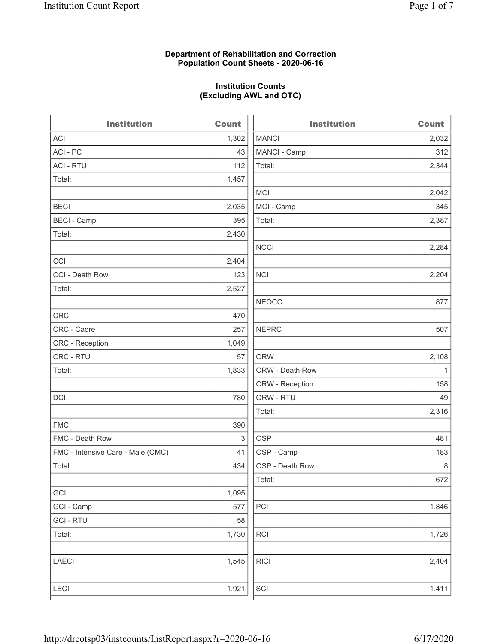### **Department of Rehabilitation and Correction Population Count Sheets - 2020-06-16**

# **Institution Counts (Excluding AWL and OTC)**

 $\overline{a}$ .

| <b>Institution</b>                | <b>Count</b> | <b>Institution</b> | <b>Count</b> |
|-----------------------------------|--------------|--------------------|--------------|
| <b>ACI</b>                        | 1,302        | <b>MANCI</b>       | 2,032        |
| ACI-PC                            | 43           | MANCI - Camp       | 312          |
| <b>ACI - RTU</b>                  | 112          | Total:             | 2,344        |
| Total:                            | 1,457        |                    |              |
|                                   |              | <b>MCI</b>         | 2,042        |
| <b>BECI</b>                       | 2,035        | MCI - Camp         | 345          |
| <b>BECI - Camp</b>                | 395          | Total:             | 2,387        |
| Total:                            | 2,430        |                    |              |
|                                   |              | <b>NCCI</b>        | 2,284        |
| CCI                               | 2,404        |                    |              |
| CCI - Death Row                   | 123          | <b>NCI</b>         | 2,204        |
| Total:                            | 2,527        |                    |              |
|                                   |              | <b>NEOCC</b>       | 877          |
| <b>CRC</b>                        | 470          |                    |              |
| CRC - Cadre                       | 257          | <b>NEPRC</b>       | 507          |
| <b>CRC</b> - Reception            | 1,049        |                    |              |
| CRC - RTU                         | 57           | <b>ORW</b>         | 2,108        |
| Total:                            | 1,833        | ORW - Death Row    | $\mathbf{1}$ |
|                                   |              | ORW - Reception    | 158          |
| DCI                               | 780          | ORW - RTU          | 49           |
|                                   |              | Total:             | 2,316        |
| <b>FMC</b>                        | 390          |                    |              |
| FMC - Death Row                   | 3            | <b>OSP</b>         | 481          |
| FMC - Intensive Care - Male (CMC) | 41           | OSP - Camp         | 183          |
| Total:                            | 434          | OSP - Death Row    | 8            |
|                                   |              | Total:             | 672          |
| GCI                               | 1,095        |                    |              |
| GCI - Camp                        | 577          | PCI                | 1,846        |
| <b>GCI-RTU</b>                    | 58           |                    |              |
| Total:                            | 1,730        | RCI                | 1,726        |
| <b>LAECI</b>                      | 1,545        | <b>RICI</b>        | 2,404        |
| <b>LECI</b>                       | 1,921        | SCI                | 1,411        |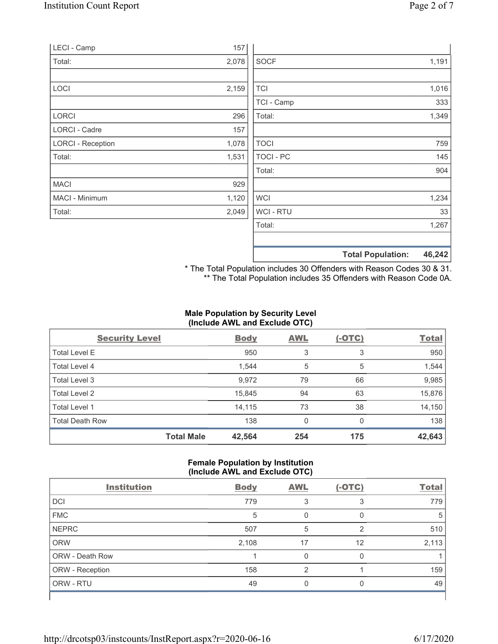| LECI - Camp              | 157   |                |                                    |  |
|--------------------------|-------|----------------|------------------------------------|--|
| Total:                   | 2,078 | <b>SOCF</b>    | 1,191                              |  |
|                          |       |                |                                    |  |
| LOCI                     | 2,159 | <b>TCI</b>     | 1,016                              |  |
|                          |       | TCI - Camp     | 333                                |  |
| LORCI                    | 296   | Total:         | 1,349                              |  |
| LORCI - Cadre            | 157   |                |                                    |  |
| <b>LORCI - Reception</b> | 1,078 | <b>TOCI</b>    | 759                                |  |
| Total:                   | 1,531 | TOCI - PC      | 145                                |  |
|                          |       | Total:         | 904                                |  |
| <b>MACI</b>              | 929   |                |                                    |  |
| MACI - Minimum           | 1,120 | <b>WCI</b>     | 1,234                              |  |
| Total:                   | 2,049 | <b>WCI-RTU</b> | 33                                 |  |
|                          |       | Total:         | 1,267                              |  |
|                          |       |                | 46,242<br><b>Total Population:</b> |  |

\* The Total Population includes 30 Offenders with Reason Codes 30 & 31. \*\* The Total Population includes 35 Offenders with Reason Code 0A.

### **Male Population by Security Level (Include AWL and Exclude OTC)**

| <b>Security Level</b>  |                   | <b>Body</b> | <b>AWL</b> | $(-OTC)$ | <b>Total</b> |
|------------------------|-------------------|-------------|------------|----------|--------------|
| <b>Total Level E</b>   |                   | 950         | 3          | 3        | 950          |
| Total Level 4          |                   | 1,544       | 5          | 5        | 1,544        |
| Total Level 3          |                   | 9,972       | 79         | 66       | 9,985        |
| Total Level 2          |                   | 15,845      | 94         | 63       | 15,876       |
| Total Level 1          |                   | 14,115      | 73         | 38       | 14,150       |
| <b>Total Death Row</b> |                   | 138         | 0          | $\Omega$ | 138          |
|                        | <b>Total Male</b> | 42,564      | 254        | 175      | 42,643       |

### **Female Population by Institution (Include AWL and Exclude OTC)**

| <b>Institution</b> | <b>Body</b> | <b>AWL</b>     | $(-OTC)$ | <b>Total</b> |
|--------------------|-------------|----------------|----------|--------------|
| <b>DCI</b>         | 779         |                | 3        | 779          |
| <b>FMC</b>         | 5           |                | 0        | 5            |
| <b>NEPRC</b>       | 507         | 5              | 2        | 510          |
| <b>ORW</b>         | 2,108       | 17             | 12       | 2,113        |
| ORW - Death Row    |             | 0              | 0        |              |
| ORW - Reception    | 158         | $\mathfrak{p}$ |          | 159          |
| ORW - RTU          | 49          | 0              | $\Omega$ | 49           |
|                    |             |                |          |              |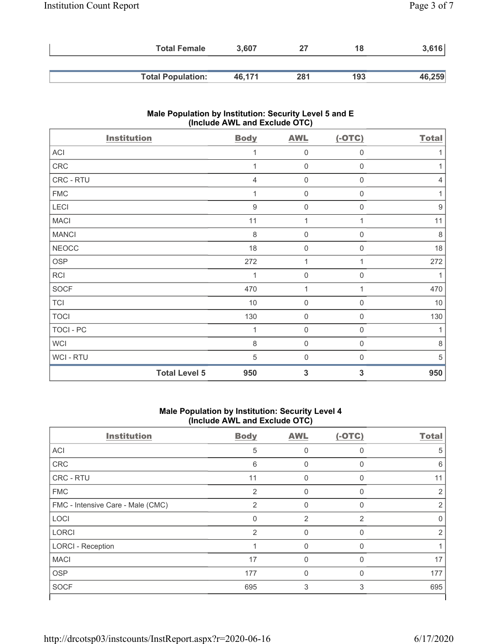| <b>Total Female</b>      | 3.607  |     | 18  | 3,616  |
|--------------------------|--------|-----|-----|--------|
|                          |        |     |     |        |
| <b>Total Population:</b> | 46.171 | 281 | 193 | 46,259 |

# **Male Population by Institution: Security Level 5 and E (Include AWL and Exclude OTC)**

| <b>Institution</b> | <b>Body</b>                 | <b>AWL</b>          | $(-OTC)$         | <b>Total</b>     |
|--------------------|-----------------------------|---------------------|------------------|------------------|
| ACI                | 1                           | 0                   | 0                |                  |
| ${\sf CRC}$        | 1                           | $\mathsf{O}\xspace$ | 0                | 1                |
| CRC - RTU          | $\overline{4}$              | 0                   | 0                | $\overline{4}$   |
| ${\sf FMC}$        | 1                           | 0                   | $\boldsymbol{0}$ | 1                |
| LECI               | 9                           | $\mathbf 0$         | $\mathbf 0$      | $\boldsymbol{9}$ |
| <b>MACI</b>        | 11                          | $\mathbf{1}$        | 1                | 11               |
| <b>MANCI</b>       | 8                           | $\mathbf 0$         | $\mathbf 0$      | $\,8\,$          |
| <b>NEOCC</b>       | 18                          | $\mathbf 0$         | $\mathbf 0$      | 18               |
| OSP                | 272                         | $\mathbf{1}$        | 1                | 272              |
| RCI                | 1                           | $\boldsymbol{0}$    | $\mathbf 0$      |                  |
| <b>SOCF</b>        | 470                         | 1                   | 1                | 470              |
| <b>TCI</b>         | $10$                        | $\mathbf 0$         | 0                | $10$             |
| <b>TOCI</b>        | 130                         | $\mathbf 0$         | 0                | 130              |
| TOCI - PC          | 1                           | $\boldsymbol{0}$    | 0                | $\mathbf{1}$     |
| <b>WCI</b>         | $\,8\,$                     | $\mathsf{O}\xspace$ | 0                | $\,8\,$          |
| WCI-RTU            | 5                           | $\boldsymbol{0}$    | 0                | 5                |
|                    | <b>Total Level 5</b><br>950 | 3                   | 3                | 950              |

### **Male Population by Institution: Security Level 4 (Include AWL and Exclude OTC)**

| <b>Institution</b>                | <b>Body</b>    | <b>AWL</b> | $(-OTC)$     | <b>Total</b> |
|-----------------------------------|----------------|------------|--------------|--------------|
| <b>ACI</b>                        | 5              | $\Omega$   | $\Omega$     | 5            |
| CRC                               | 6              | 0          | 0            | 6            |
| <b>CRC - RTU</b>                  | 11             | 0          | $\mathbf 0$  | 11           |
| <b>FMC</b>                        | 2              | $\Omega$   | $\Omega$     | 2            |
| FMC - Intensive Care - Male (CMC) | 2              | $\Omega$   | $\Omega$     | 2            |
| LOCI                              | $\mathbf{0}$   | 2          | 2            | 0            |
| <b>LORCI</b>                      | $\overline{2}$ | $\Omega$   | $\mathbf{0}$ | 2            |
| <b>LORCI - Reception</b>          |                | $\Omega$   | $\Omega$     |              |
| <b>MACI</b>                       | 17             | $\Omega$   | $\Omega$     | 17           |
| <b>OSP</b>                        | 177            | 0          | $\Omega$     | 177          |
| <b>SOCF</b>                       | 695            | 3          | 3            | 695          |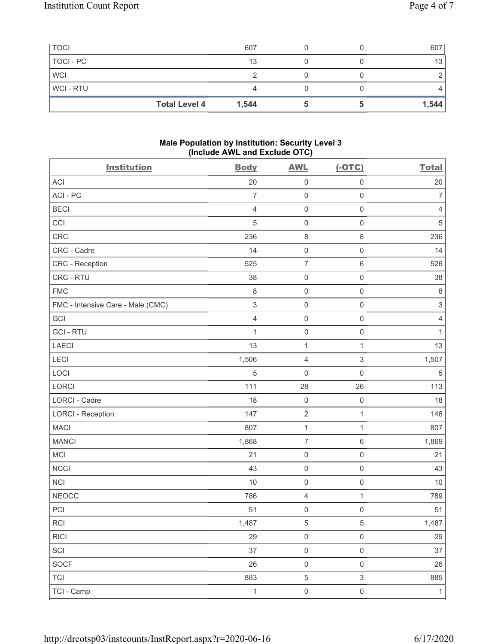| <b>TOCI</b>    |                      | 607   |  | 607   |
|----------------|----------------------|-------|--|-------|
| TOCI - PC      |                      | 13    |  | 13    |
| <b>WCI</b>     |                      |       |  |       |
| <b>WCI-RTU</b> |                      |       |  |       |
|                | <b>Total Level 4</b> | 1,544 |  | 1,544 |

### **Male Population by Institution: Security Level 3 (Include AWL and Exclude OTC)**

| <b>Institution</b>                | <b>Body</b>    | <b>AWL</b>          | $(-OTC)$                  | <b>Total</b>   |
|-----------------------------------|----------------|---------------------|---------------------------|----------------|
| <b>ACI</b>                        | 20             | $\mathsf 0$         | $\mathsf 0$               | 20             |
| ACI-PC                            | $\overline{7}$ | $\mathsf{O}\xspace$ | $\mathbf 0$               | $\overline{7}$ |
| <b>BECI</b>                       | $\overline{4}$ | $\mathsf 0$         | $\mathbf 0$               | 4              |
| CCI                               | $\sqrt{5}$     | $\mathsf 0$         | $\mathbf 0$               | $\mathbf 5$    |
| CRC                               | 236            | $\,8\,$             | 8                         | 236            |
| CRC - Cadre                       | 14             | $\mathsf 0$         | $\mathsf{O}\xspace$       | 14             |
| CRC - Reception                   | 525            | $\overline{7}$      | $\,6\,$                   | 526            |
| CRC - RTU                         | 38             | $\mathsf 0$         | $\mathbf 0$               | 38             |
| <b>FMC</b>                        | $\,8\,$        | $\mathsf{O}\xspace$ | $\mathsf 0$               | $\,8\,$        |
| FMC - Intensive Care - Male (CMC) | $\,$ 3 $\,$    | $\mathsf 0$         | $\mathsf{O}\xspace$       | $\sqrt{3}$     |
| GCI                               | $\overline{4}$ | $\mathsf{O}\xspace$ | $\mathsf{O}\xspace$       | $\sqrt{4}$     |
| <b>GCI-RTU</b>                    | 1              | $\mathsf{O}\xspace$ | $\mathsf{O}\xspace$       | $\mathbf{1}$   |
| LAECI                             | 13             | $\mathbf{1}$        | $\mathbf 1$               | 13             |
| LECI                              | 1,506          | $\overline{4}$      | $\ensuremath{\mathsf{3}}$ | 1,507          |
| LOCI                              | 5              | $\mathbf 0$         | $\mathsf{O}\xspace$       | $\mathbf 5$    |
| LORCI                             | 111            | 28                  | 26                        | 113            |
| LORCI - Cadre                     | 18             | $\mathsf 0$         | $\mathbf 0$               | 18             |
| <b>LORCI - Reception</b>          | 147            | $\sqrt{2}$          | $\mathbf{1}$              | 148            |
| <b>MACI</b>                       | 807            | $\mathbf{1}$        | $\mathbf{1}$              | 807            |
| <b>MANCI</b>                      | 1,868          | $\overline{7}$      | $\,6\,$                   | 1,869          |
| MCI                               | 21             | $\mathsf{O}\xspace$ | $\mathsf{O}\xspace$       | 21             |
| <b>NCCI</b>                       | 43             | $\mathsf{O}\xspace$ | $\mathbf 0$               | 43             |
| <b>NCI</b>                        | 10             | $\mathsf 0$         | $\mathsf{O}\xspace$       | 10             |
| <b>NEOCC</b>                      | 786            | $\sqrt{4}$          | $\mathbf{1}$              | 789            |
| PCI                               | 51             | $\mathbf 0$         | $\mathsf{O}\xspace$       | 51             |
| $\sf RCI$                         | 1,487          | 5                   | 5                         | 1,487          |
| <b>RICI</b>                       | 29             | $\mathsf{O}\xspace$ | $\mathsf{O}\xspace$       | 29             |
| SCI                               | 37             | $\mathsf{O}\xspace$ | $\mathsf{O}\xspace$       | 37             |
| SOCF                              | 26             | $\mathbf 0$         | $\mathsf{O}\xspace$       | $26\,$         |
| <b>TCI</b>                        | 883            | $\,$ 5 $\,$         | $\mathfrak{S}$            | 885            |
| TCI - Camp                        | $\mathbf{1}$   | $\mathsf{O}\xspace$ | $\mathsf{O}\xspace$       | $\mathbf{1}$   |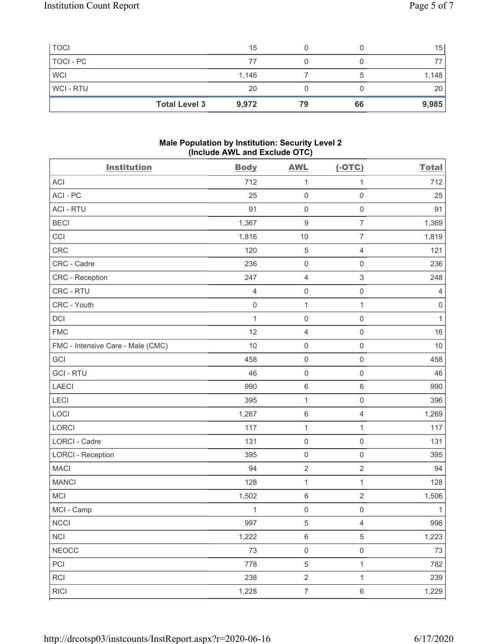| <b>Total Level 3</b> | 9,972 | 79 | 66 | 9,985 |
|----------------------|-------|----|----|-------|
| WCI-RTU              | 20    |    |    | 20    |
| <b>WCI</b>           | 1,146 |    |    | 1,148 |
| TOCI - PC            | 77    |    |    |       |
| <b>TOCI</b>          | 15    |    |    | 15    |

### **Male Population by Institution: Security Level 2 (Include AWL and Exclude OTC)**

| <b>Institution</b>                | <b>Body</b>    | <b>AWL</b>          | $(-OTC)$            | <b>Total</b> |
|-----------------------------------|----------------|---------------------|---------------------|--------------|
| <b>ACI</b>                        | 712            | $\mathbf{1}$        | 1                   | 712          |
| ACI-PC                            | 25             | $\mathsf{O}\xspace$ | $\mathbf 0$         | 25           |
| <b>ACI - RTU</b>                  | 91             | $\mathsf{O}\xspace$ | $\mathsf{O}\xspace$ | 91           |
| <b>BECI</b>                       | 1,367          | $\boldsymbol{9}$    | $\overline{7}$      | 1,369        |
| CCI                               | 1,816          | 10                  | $\overline{7}$      | 1,819        |
| CRC                               | 120            | $\mathbf 5$         | $\overline{4}$      | 121          |
| CRC - Cadre                       | 236            | $\mathbf 0$         | $\mathbf 0$         | 236          |
| CRC - Reception                   | 247            | $\overline{4}$      | $\mathfrak{S}$      | 248          |
| CRC - RTU                         | $\overline{4}$ | $\mathsf{O}\xspace$ | $\mathsf{O}\xspace$ | 4            |
| CRC - Youth                       | $\mathbf 0$    | $\mathbf{1}$        | $\mathbf{1}$        | $\,0\,$      |
| <b>DCI</b>                        | 1              | $\mathsf{O}\xspace$ | $\mathsf{O}\xspace$ | $\mathbf{1}$ |
| <b>FMC</b>                        | 12             | $\sqrt{4}$          | $\mathsf{O}\xspace$ | 16           |
| FMC - Intensive Care - Male (CMC) | 10             | $\mathsf{O}\xspace$ | $\mathsf{O}\xspace$ | 10           |
| GCI                               | 458            | $\mathsf{O}\xspace$ | 0                   | 458          |
| <b>GCI-RTU</b>                    | 46             | $\mathsf{O}\xspace$ | $\mathsf{O}\xspace$ | 46           |
| LAECI                             | 990            | $\,6\,$             | 6                   | 990          |
| LECI                              | 395            | $\mathbf{1}$        | $\mathsf 0$         | 396          |
| LOCI                              | 1,267          | $\,6\,$             | $\overline{4}$      | 1,269        |
| LORCI                             | 117            | $\mathbf 1$         | 1                   | 117          |
| <b>LORCI - Cadre</b>              | 131            | $\mathsf{O}\xspace$ | $\mathsf{O}\xspace$ | 131          |
| <b>LORCI - Reception</b>          | 395            | $\mathsf{O}\xspace$ | $\mathsf{O}\xspace$ | 395          |
| <b>MACI</b>                       | 94             | $\sqrt{2}$          | $\overline{2}$      | 94           |
| <b>MANCI</b>                      | 128            | $\mathbf{1}$        | $\mathbf{1}$        | 128          |
| <b>MCI</b>                        | 1,502          | $\,6\,$             | $\sqrt{2}$          | 1,506        |
| MCI - Camp                        | 1              | $\mathbf 0$         | $\mathbf 0$         | $\mathbf{1}$ |
| $\sf NCCI$                        | 997            | $\,$ 5 $\,$         | $\overline{4}$      | 998          |
| <b>NCI</b>                        | 1,222          | $\,6\,$             | 5                   | 1,223        |
| <b>NEOCC</b>                      | 73             | $\mathsf{O}\xspace$ | $\mathsf{O}\xspace$ | $73\,$       |
| PCI                               | 778            | $\,$ 5 $\,$         | $\mathbf{1}$        | 782          |
| <b>RCI</b>                        | 238            | $\sqrt{2}$          | $\mathbf{1}$        | 239          |
| <b>RICI</b>                       | 1,228          | $\boldsymbol{7}$    | $\,6$               | 1,229        |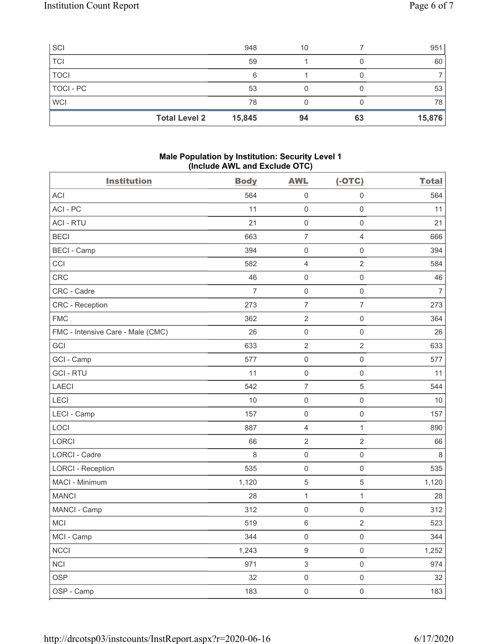| SCI                  | 948    | 10 |    | 951    |
|----------------------|--------|----|----|--------|
| <b>TCI</b>           | 59     |    |    | 60     |
| <b>TOCI</b>          | 6      |    |    |        |
| TOCI - PC            | 53     |    |    | 53     |
| <b>WCI</b>           | 78     |    |    | 78     |
| <b>Total Level 2</b> | 15,845 | 94 | 63 | 15,876 |

#### **Male Population by Institution: Security Level 1 (Include AWL and Exclude OTC)**

|                                   |                | ,                   |                     |                |
|-----------------------------------|----------------|---------------------|---------------------|----------------|
| <b>Institution</b>                | <b>Body</b>    | <b>AWL</b>          | $(-OTC)$            | <b>Total</b>   |
| <b>ACI</b>                        | 564            | 0                   | $\mathsf 0$         | 564            |
| ACI-PC                            | 11             | $\mathsf{O}\xspace$ | $\mathsf{O}\xspace$ | 11             |
| <b>ACI - RTU</b>                  | 21             | $\mathsf 0$         | $\mathsf{O}\xspace$ | 21             |
| <b>BECI</b>                       | 663            | $\overline{7}$      | $\overline{4}$      | 666            |
| <b>BECI - Camp</b>                | 394            | $\mathsf{O}\xspace$ | $\mathsf{O}\xspace$ | 394            |
| CCI                               | 582            | $\overline{4}$      | $\overline{2}$      | 584            |
| CRC                               | 46             | $\mathsf{O}\xspace$ | $\mathsf{O}\xspace$ | 46             |
| CRC - Cadre                       | $\overline{7}$ | $\mathsf 0$         | $\,0\,$             | $\overline{7}$ |
| CRC - Reception                   | 273            | $\overline{7}$      | $\overline{7}$      | 273            |
| <b>FMC</b>                        | 362            | $\sqrt{2}$          | $\mathsf{O}\xspace$ | 364            |
| FMC - Intensive Care - Male (CMC) | 26             | $\mathsf{O}\xspace$ | $\mathsf{O}\xspace$ | 26             |
| GCI                               | 633            | $\sqrt{2}$          | $\overline{2}$      | 633            |
| GCI - Camp                        | 577            | $\mathsf 0$         | $\mathsf{O}\xspace$ | 577            |
| <b>GCI-RTU</b>                    | 11             | $\mathsf{O}\xspace$ | $\mathsf{O}\xspace$ | 11             |
| <b>LAECI</b>                      | 542            | $\overline{7}$      | 5                   | 544            |
| LECI                              | 10             | $\mathsf{O}\xspace$ | $\mathsf 0$         | $10$           |
| LECI - Camp                       | 157            | $\mathsf{O}\xspace$ | $\mathsf{O}\xspace$ | 157            |
| LOCI                              | 887            | $\overline{4}$      | $\mathbf{1}$        | 890            |
| LORCI                             | 66             | $\sqrt{2}$          | $\sqrt{2}$          | 66             |
| <b>LORCI - Cadre</b>              | 8              | $\mathsf{O}\xspace$ | $\mathsf{O}\xspace$ | $\,8\,$        |
| <b>LORCI - Reception</b>          | 535            | $\mathsf{O}\xspace$ | $\mathsf 0$         | 535            |
| MACI - Minimum                    | 1,120          | $\mathbf 5$         | $\,$ 5 $\,$         | 1,120          |
| <b>MANCI</b>                      | 28             | $\mathbf{1}$        | $\mathbf{1}$        | 28             |
| MANCI - Camp                      | 312            | $\mathsf{O}\xspace$ | $\mathsf 0$         | 312            |
| MCI                               | 519            | $\,6\,$             | $\sqrt{2}$          | 523            |
| MCI - Camp                        | 344            | 0                   | 0                   | 344            |
| <b>NCCI</b>                       | 1,243          | $\boldsymbol{9}$    | $\mathsf{O}\xspace$ | 1,252          |
| <b>NCI</b>                        | 971            | $\mathsf 3$         | $\mathsf{O}\xspace$ | 974            |
| <b>OSP</b>                        | 32             | $\mathsf 0$         | $\mathsf{O}\xspace$ | 32             |
| OSP - Camp                        | 183            | $\mathsf{O}\xspace$ | $\mathsf{O}\xspace$ | 183            |